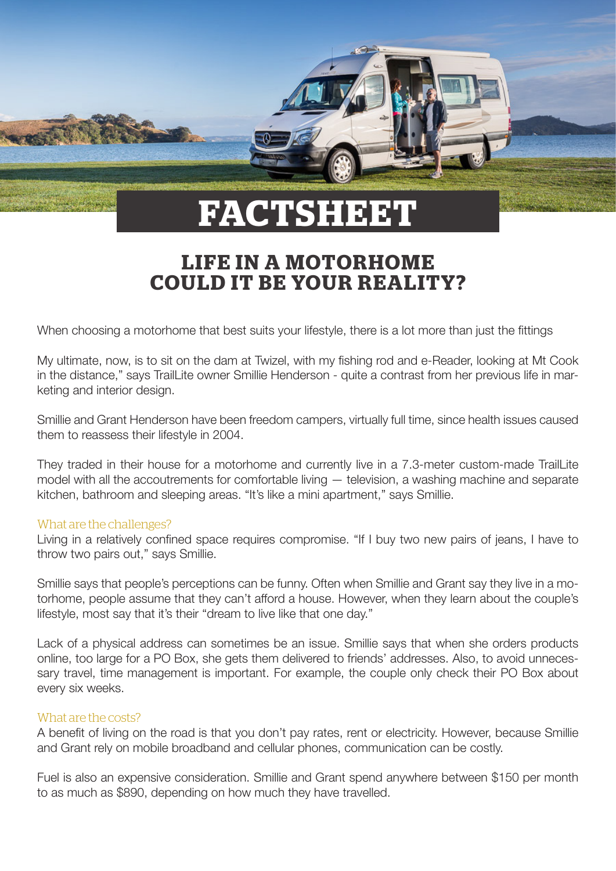

# **LIFE IN A MOTORHOME COULD IT BE YOUR REALITY?**

When choosing a motorhome that best suits your lifestyle, there is a lot more than just the fittings

My ultimate, now, is to sit on the dam at Twizel, with my fishing rod and e-Reader, looking at Mt Cook in the distance," says TrailLite owner Smillie Henderson - quite a contrast from her previous life in marketing and interior design.

Smillie and Grant Henderson have been freedom campers, virtually full time, since health issues caused them to reassess their lifestyle in 2004.

They traded in their house for a motorhome and currently live in a 7.3-meter custom-made TrailLite model with all the accoutrements for comfortable living — television, a washing machine and separate kitchen, bathroom and sleeping areas. "It's like a mini apartment," says Smillie.

#### What are the challenges?

Living in a relatively confined space requires compromise. "If I buy two new pairs of jeans, I have to throw two pairs out," says Smillie.

Smillie says that people's perceptions can be funny. Often when Smillie and Grant say they live in a motorhome, people assume that they can't afford a house. However, when they learn about the couple's lifestyle, most say that it's their "dream to live like that one day."

Lack of a physical address can sometimes be an issue. Smillie says that when she orders products online, too large for a PO Box, she gets them delivered to friends' addresses. Also, to avoid unnecessary travel, time management is important. For example, the couple only check their PO Box about every six weeks.

## What are the costs?

A benefit of living on the road is that you don't pay rates, rent or electricity. However, because Smillie and Grant rely on mobile broadband and cellular phones, communication can be costly.

Fuel is also an expensive consideration. Smillie and Grant spend anywhere between \$150 per month to as much as \$890, depending on how much they have travelled.